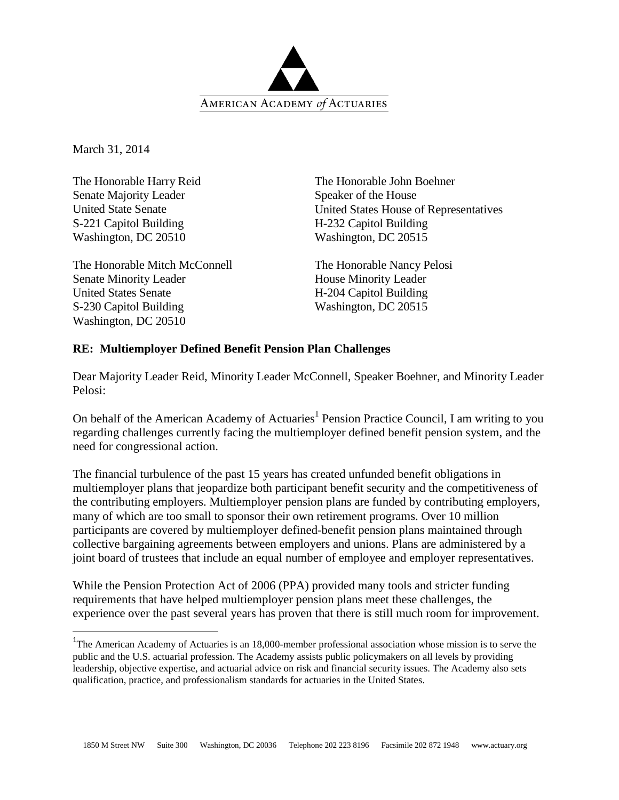

March 31, 2014

The Honorable Harry Reid Senate Majority Leader United State Senate S-221 Capitol Building Washington, DC 20510

The Honorable Mitch McConnell Senate Minority Leader United States Senate S-230 Capitol Building Washington, DC 20510

The Honorable John Boehner Speaker of the House United States House of Representatives H-232 Capitol Building Washington, DC 20515

The Honorable Nancy Pelosi House Minority Leader H-204 Capitol Building Washington, DC 20515

## **RE: Multiemployer Defined Benefit Pension Plan Challenges**

Dear Majority Leader Reid, Minority Leader McConnell, Speaker Boehner, and Minority Leader Pelosi:

On behalf of the American Academy of Actuaries<sup>1</sup> Pension Practice Council, I am writing to you regarding challenges currently facing the multiemployer defined benefit pension system, and the need for congressional action.

The financial turbulence of the past 15 years has created unfunded benefit obligations in multiemployer plans that jeopardize both participant benefit security and the competitiveness of the contributing employers. Multiemployer pension plans are funded by contributing employers, many of which are too small to sponsor their own retirement programs. Over 10 million participants are covered by multiemployer defined-benefit pension plans maintained through collective bargaining agreements between employers and unions. Plans are administered by a joint board of trustees that include an equal number of employee and employer representatives.

While the Pension Protection Act of 2006 (PPA) provided many tools and stricter funding requirements that have helped multiemployer pension plans meet these challenges, the experience over the past several years has proven that there is still much room for improvement.

<sup>&</sup>lt;sup>1</sup>The American Academy of Actuaries is an 18,000-member professional association whose mission is to serve the public and the U.S. actuarial profession. The Academy assists public policymakers on all levels by providing leadership, objective expertise, and actuarial advice on risk and financial security issues. The Academy also sets qualification, practice, and professionalism standards for actuaries in the United States.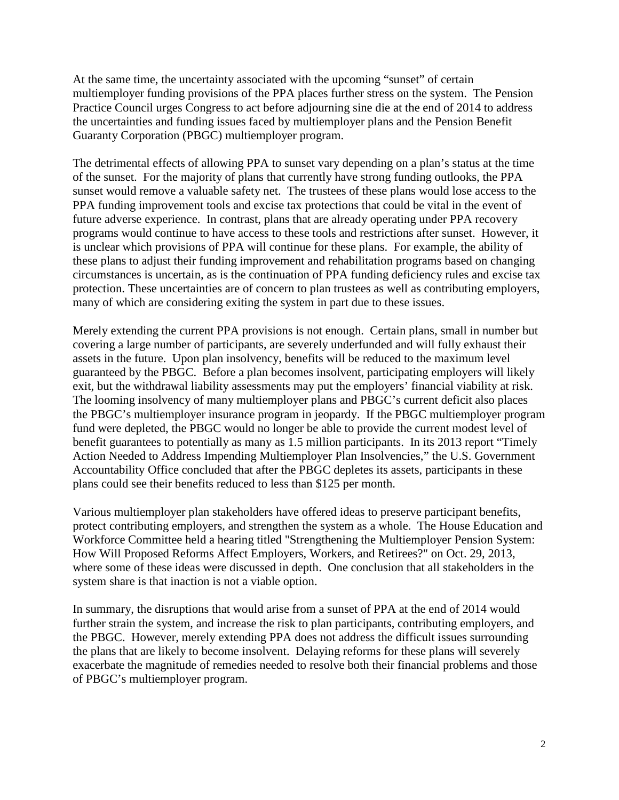At the same time, the uncertainty associated with the upcoming "sunset" of certain multiemployer funding provisions of the PPA places further stress on the system. The Pension Practice Council urges Congress to act before adjourning sine die at the end of 2014 to address the uncertainties and funding issues faced by multiemployer plans and the Pension Benefit Guaranty Corporation (PBGC) multiemployer program.

The detrimental effects of allowing PPA to sunset vary depending on a plan's status at the time of the sunset. For the majority of plans that currently have strong funding outlooks, the PPA sunset would remove a valuable safety net. The trustees of these plans would lose access to the PPA funding improvement tools and excise tax protections that could be vital in the event of future adverse experience. In contrast, plans that are already operating under PPA recovery programs would continue to have access to these tools and restrictions after sunset. However, it is unclear which provisions of PPA will continue for these plans. For example, the ability of these plans to adjust their funding improvement and rehabilitation programs based on changing circumstances is uncertain, as is the continuation of PPA funding deficiency rules and excise tax protection. These uncertainties are of concern to plan trustees as well as contributing employers, many of which are considering exiting the system in part due to these issues.

Merely extending the current PPA provisions is not enough. Certain plans, small in number but covering a large number of participants, are severely underfunded and will fully exhaust their assets in the future. Upon plan insolvency, benefits will be reduced to the maximum level guaranteed by the PBGC. Before a plan becomes insolvent, participating employers will likely exit, but the withdrawal liability assessments may put the employers' financial viability at risk. The looming insolvency of many multiemployer plans and PBGC's current deficit also places the PBGC's multiemployer insurance program in jeopardy. If the PBGC multiemployer program fund were depleted, the PBGC would no longer be able to provide the current modest level of benefit guarantees to potentially as many as 1.5 million participants. In its 2013 report "Timely Action Needed to Address Impending Multiemployer Plan Insolvencies," the U.S. Government Accountability Office concluded that after the PBGC depletes its assets, participants in these plans could see their benefits reduced to less than \$125 per month.

Various multiemployer plan stakeholders have offered ideas to preserve participant benefits, protect contributing employers, and strengthen the system as a whole. The House Education and Workforce Committee held a hearing titled "Strengthening the Multiemployer Pension System: How Will Proposed Reforms Affect Employers, Workers, and Retirees?" on Oct. 29, 2013, where some of these ideas were discussed in depth. One conclusion that all stakeholders in the system share is that inaction is not a viable option.

In summary, the disruptions that would arise from a sunset of PPA at the end of 2014 would further strain the system, and increase the risk to plan participants, contributing employers, and the PBGC. However, merely extending PPA does not address the difficult issues surrounding the plans that are likely to become insolvent. Delaying reforms for these plans will severely exacerbate the magnitude of remedies needed to resolve both their financial problems and those of PBGC's multiemployer program.